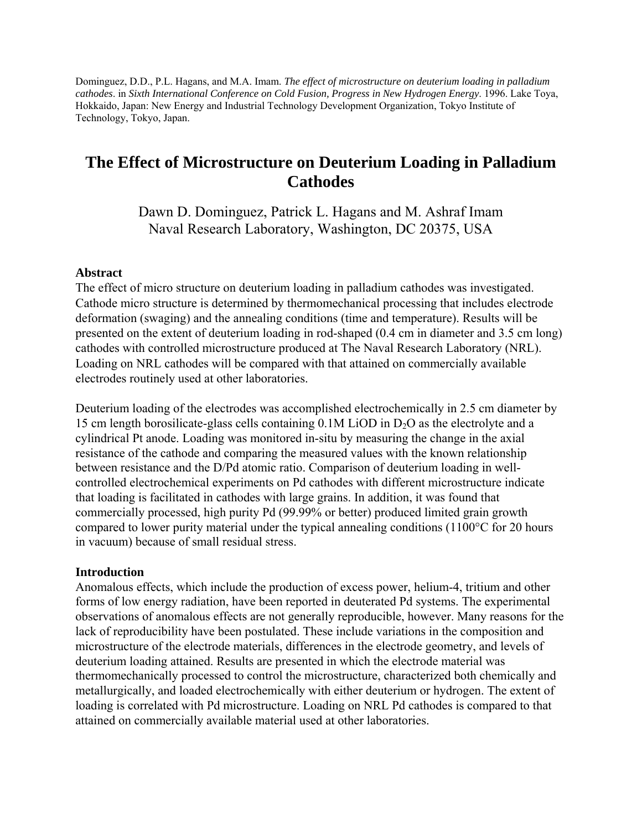Dominguez, D.D., P.L. Hagans, and M.A. Imam. *The effect of microstructure on deuterium loading in palladium cathodes*. in *Sixth International Conference on Cold Fusion, Progress in New Hydrogen Energy*. 1996. Lake Toya, Hokkaido, Japan: New Energy and Industrial Technology Development Organization, Tokyo Institute of Technology, Tokyo, Japan.

# **The Effect of Microstructure on Deuterium Loading in Palladium Cathodes**

Dawn D. Dominguez, Patrick L. Hagans and M. Ashraf Imam Naval Research Laboratory, Washington, DC 20375, USA

#### **Abstract**

The effect of micro structure on deuterium loading in palladium cathodes was investigated. Cathode micro structure is determined by thermomechanical processing that includes electrode deformation (swaging) and the annealing conditions (time and temperature). Results will be presented on the extent of deuterium loading in rod-shaped (0.4 cm in diameter and 3.5 cm long) cathodes with controlled microstructure produced at The Naval Research Laboratory (NRL). Loading on NRL cathodes will be compared with that attained on commercially available electrodes routinely used at other laboratories.

Deuterium loading of the electrodes was accomplished electrochemically in 2.5 cm diameter by 15 cm length borosilicate-glass cells containing  $0.1M$  LiOD in  $D<sub>2</sub>O$  as the electrolyte and a cylindrical Pt anode. Loading was monitored in-situ by measuring the change in the axial resistance of the cathode and comparing the measured values with the known relationship between resistance and the D/Pd atomic ratio. Comparison of deuterium loading in wellcontrolled electrochemical experiments on Pd cathodes with different microstructure indicate that loading is facilitated in cathodes with large grains. In addition, it was found that commercially processed, high purity Pd (99.99% or better) produced limited grain growth compared to lower purity material under the typical annealing conditions (1100°C for 20 hours in vacuum) because of small residual stress.

#### **Introduction**

Anomalous effects, which include the production of excess power, helium-4, tritium and other forms of low energy radiation, have been reported in deuterated Pd systems. The experimental observations of anomalous effects are not generally reproducible, however. Many reasons for the lack of reproducibility have been postulated. These include variations in the composition and microstructure of the electrode materials, differences in the electrode geometry, and levels of deuterium loading attained. Results are presented in which the electrode material was thermomechanically processed to control the microstructure, characterized both chemically and metallurgically, and loaded electrochemically with either deuterium or hydrogen. The extent of loading is correlated with Pd microstructure. Loading on NRL Pd cathodes is compared to that attained on commercially available material used at other laboratories.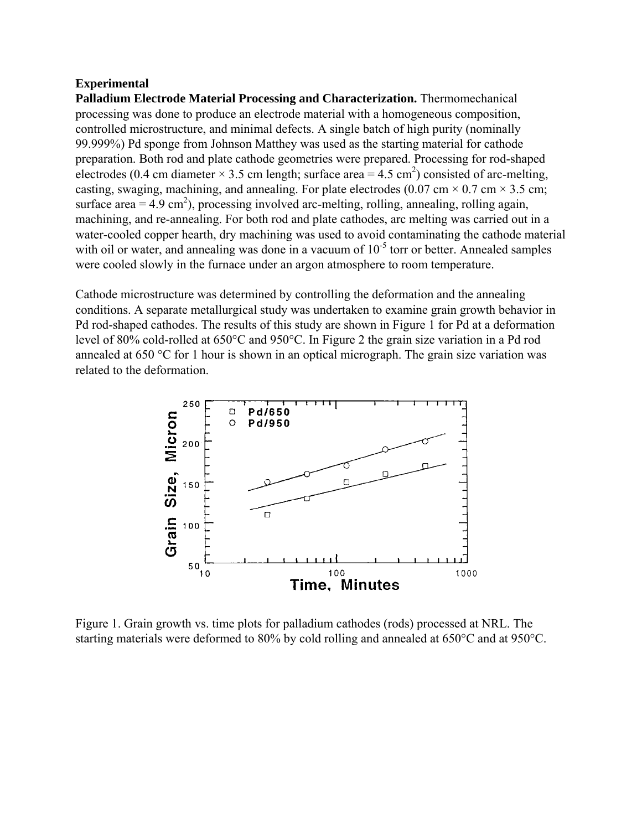#### **Experimental**

**Palladium Electrode Material Processing and Characterization.** Thermomechanical processing was done to produce an electrode material with a homogeneous composition, controlled microstructure, and minimal defects. A single batch of high purity (nominally 99.999%) Pd sponge from Johnson Matthey was used as the starting material for cathode preparation. Both rod and plate cathode geometries were prepared. Processing for rod-shaped electrodes (0.4 cm diameter  $\times$  3.5 cm length; surface area = 4.5 cm<sup>2</sup>) consisted of arc-melting, casting, swaging, machining, and annealing. For plate electrodes (0.07 cm  $\times$  0.7 cm  $\times$  3.5 cm; surface  $area = 4.9 \text{ cm}^2$ ), processing involved arc-melting, rolling, annealing, rolling again, machining, and re-annealing. For both rod and plate cathodes, arc melting was carried out in a water-cooled copper hearth, dry machining was used to avoid contaminating the cathode material with oil or water, and annealing was done in a vacuum of  $10^{-5}$  torr or better. Annealed samples were cooled slowly in the furnace under an argon atmosphere to room temperature.

Cathode microstructure was determined by controlling the deformation and the annealing conditions. A separate metallurgical study was undertaken to examine grain growth behavior in Pd rod-shaped cathodes. The results of this study are shown in Figure 1 for Pd at a deformation level of 80% cold-rolled at 650°C and 950°C. In Figure 2 the grain size variation in a Pd rod annealed at 650 °C for 1 hour is shown in an optical micrograph. The grain size variation was related to the deformation.



Figure 1. Grain growth vs. time plots for palladium cathodes (rods) processed at NRL. The starting materials were deformed to 80% by cold rolling and annealed at 650°C and at 950°C.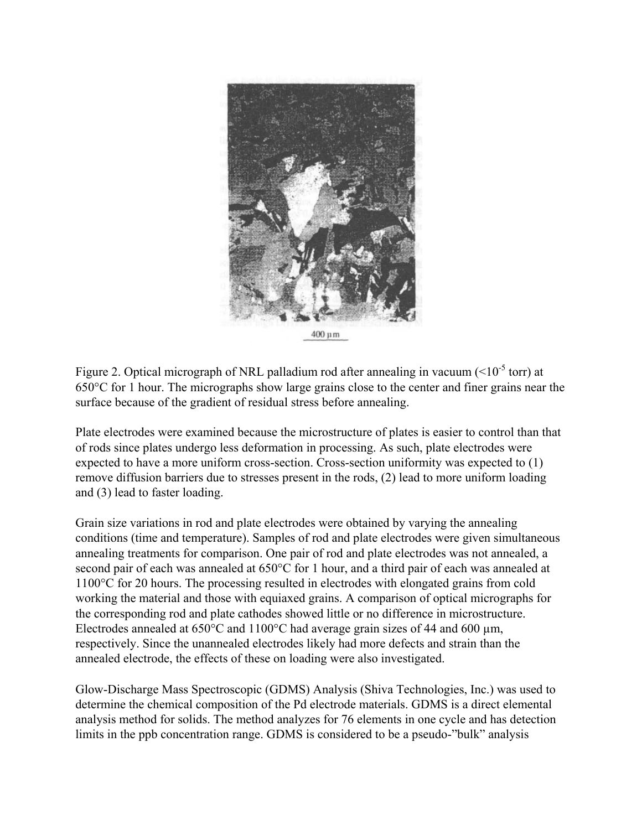

Figure 2. Optical micrograph of NRL palladium rod after annealing in vacuum ( $\leq 10^{-5}$  torr) at 650°C for 1 hour. The micrographs show large grains close to the center and finer grains near the surface because of the gradient of residual stress before annealing.

Plate electrodes were examined because the microstructure of plates is easier to control than that of rods since plates undergo less deformation in processing. As such, plate electrodes were expected to have a more uniform cross-section. Cross-section uniformity was expected to (1) remove diffusion barriers due to stresses present in the rods, (2) lead to more uniform loading and (3) lead to faster loading.

Grain size variations in rod and plate electrodes were obtained by varying the annealing conditions (time and temperature). Samples of rod and plate electrodes were given simultaneous annealing treatments for comparison. One pair of rod and plate electrodes was not annealed, a second pair of each was annealed at 650°C for 1 hour, and a third pair of each was annealed at 1100°C for 20 hours. The processing resulted in electrodes with elongated grains from cold working the material and those with equiaxed grains. A comparison of optical micrographs for the corresponding rod and plate cathodes showed little or no difference in microstructure. Electrodes annealed at  $650^{\circ}$ C and  $1100^{\circ}$ C had average grain sizes of 44 and 600 µm, respectively. Since the unannealed electrodes likely had more defects and strain than the annealed electrode, the effects of these on loading were also investigated.

Glow-Discharge Mass Spectroscopic (GDMS) Analysis (Shiva Technologies, Inc.) was used to determine the chemical composition of the Pd electrode materials. GDMS is a direct elemental analysis method for solids. The method analyzes for 76 elements in one cycle and has detection limits in the ppb concentration range. GDMS is considered to be a pseudo-"bulk" analysis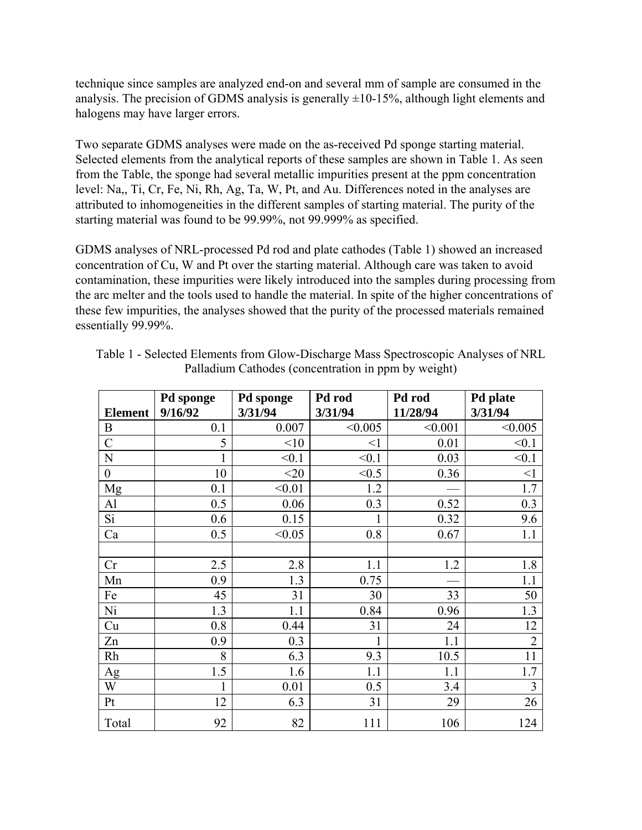technique since samples are analyzed end-on and several mm of sample are consumed in the analysis. The precision of GDMS analysis is generally  $\pm 10$ -15%, although light elements and halogens may have larger errors.

Two separate GDMS analyses were made on the as-received Pd sponge starting material. Selected elements from the analytical reports of these samples are shown in Table 1. As seen from the Table, the sponge had several metallic impurities present at the ppm concentration level: Na,, Ti, Cr, Fe, Ni, Rh, Ag, Ta, W, Pt, and Au. Differences noted in the analyses are attributed to inhomogeneities in the different samples of starting material. The purity of the starting material was found to be 99.99%, not 99.999% as specified.

GDMS analyses of NRL-processed Pd rod and plate cathodes (Table 1) showed an increased concentration of Cu, W and Pt over the starting material. Although care was taken to avoid contamination, these impurities were likely introduced into the samples during processing from the arc melter and the tools used to handle the material. In spite of the higher concentrations of these few impurities, the analyses showed that the purity of the processed materials remained essentially 99.99%.

|                  | Pd sponge | Pd sponge | Pd rod   | Pd rod   | Pd plate       |
|------------------|-----------|-----------|----------|----------|----------------|
| <b>Element</b>   | 9/16/92   | 3/31/94   | 3/31/94  | 11/28/94 | 3/31/94        |
| $\boldsymbol{B}$ | 0.1       | 0.007     | < 0.005  | < 0.001  | < 0.005        |
| $\mathcal{C}$    | 5         | <10       | $\leq$ 1 | 0.01     | < 0.1          |
| N                |           | < 0.1     | < 0.1    | 0.03     | < 0.1          |
| $\boldsymbol{0}$ | 10        | $<$ 20    | < 0.5    | 0.36     | $\leq$ 1       |
| Mg               | 0.1       | < 0.01    | 1.2      |          | 1.7            |
| Al               | 0.5       | 0.06      | 0.3      | 0.52     | 0.3            |
| Si               | 0.6       | 0.15      |          | 0.32     | 9.6            |
| Ca               | 0.5       | < 0.05    | 0.8      | 0.67     | 1.1            |
|                  |           |           |          |          |                |
| Cr               | 2.5       | 2.8       | 1.1      | 1.2      | 1.8            |
| Mn               | 0.9       | 1.3       | 0.75     |          | 1.1            |
| Fe               | 45        | 31        | 30       | 33       | 50             |
| Ni               | 1.3       | 1.1       | 0.84     | 0.96     | 1.3            |
| Cu               | 0.8       | 0.44      | 31       | 24       | 12             |
| Zn               | 0.9       | 0.3       | 1        | 1.1      | $\overline{2}$ |
| Rh               | 8         | 6.3       | 9.3      | 10.5     | 11             |
| Ag               | 1.5       | 1.6       | 1.1      | 1.1      | 1.7            |
| W                |           | 0.01      | 0.5      | 3.4      | 3              |
| Pt               | 12        | 6.3       | 31       | 29       | 26             |
| Total            | 92        | 82        | 111      | 106      | 124            |

Table 1 - Selected Elements from Glow-Discharge Mass Spectroscopic Analyses of NRL Palladium Cathodes (concentration in ppm by weight)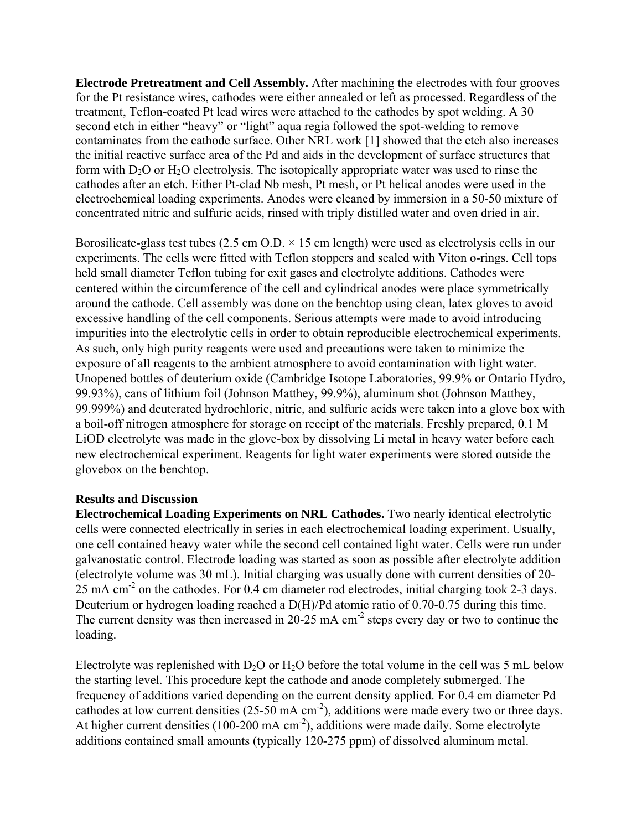**Electrode Pretreatment and Cell Assembly.** After machining the electrodes with four grooves for the Pt resistance wires, cathodes were either annealed or left as processed. Regardless of the treatment, Teflon-coated Pt lead wires were attached to the cathodes by spot welding. A 30 second etch in either "heavy" or "light" aqua regia followed the spot-welding to remove contaminates from the cathode surface. Other NRL work [1] showed that the etch also increases the initial reactive surface area of the Pd and aids in the development of surface structures that form with  $D_2O$  or  $H_2O$  electrolysis. The isotopically appropriate water was used to rinse the cathodes after an etch. Either Pt-clad Nb mesh, Pt mesh, or Pt helical anodes were used in the electrochemical loading experiments. Anodes were cleaned by immersion in a 50-50 mixture of concentrated nitric and sulfuric acids, rinsed with triply distilled water and oven dried in air.

Borosilicate-glass test tubes (2.5 cm  $O.D. \times 15$  cm length) were used as electrolysis cells in our experiments. The cells were fitted with Teflon stoppers and sealed with Viton o-rings. Cell tops held small diameter Teflon tubing for exit gases and electrolyte additions. Cathodes were centered within the circumference of the cell and cylindrical anodes were place symmetrically around the cathode. Cell assembly was done on the benchtop using clean, latex gloves to avoid excessive handling of the cell components. Serious attempts were made to avoid introducing impurities into the electrolytic cells in order to obtain reproducible electrochemical experiments. As such, only high purity reagents were used and precautions were taken to minimize the exposure of all reagents to the ambient atmosphere to avoid contamination with light water. Unopened bottles of deuterium oxide (Cambridge Isotope Laboratories, 99.9% or Ontario Hydro, 99.93%), cans of lithium foil (Johnson Matthey, 99.9%), aluminum shot (Johnson Matthey, 99.999%) and deuterated hydrochloric, nitric, and sulfuric acids were taken into a glove box with a boil-off nitrogen atmosphere for storage on receipt of the materials. Freshly prepared, 0.1 M LiOD electrolyte was made in the glove-box by dissolving Li metal in heavy water before each new electrochemical experiment. Reagents for light water experiments were stored outside the glovebox on the benchtop.

## **Results and Discussion**

**Electrochemical Loading Experiments on NRL Cathodes.** Two nearly identical electrolytic cells were connected electrically in series in each electrochemical loading experiment. Usually, one cell contained heavy water while the second cell contained light water. Cells were run under galvanostatic control. Electrode loading was started as soon as possible after electrolyte addition (electrolyte volume was 30 mL). Initial charging was usually done with current densities of 20- 25 mA cm<sup>-2</sup> on the cathodes. For 0.4 cm diameter rod electrodes, initial charging took 2-3 days. Deuterium or hydrogen loading reached a D(H)/Pd atomic ratio of 0.70-0.75 during this time. The current density was then increased in  $20-25$  mA cm<sup>-2</sup> steps every day or two to continue the loading.

Electrolyte was replenished with  $D_2O$  or  $H_2O$  before the total volume in the cell was 5 mL below the starting level. This procedure kept the cathode and anode completely submerged. The frequency of additions varied depending on the current density applied. For 0.4 cm diameter Pd cathodes at low current densities  $(25-50 \text{ mA cm}^2)$ , additions were made every two or three days. At higher current densities (100-200 mA cm<sup>-2</sup>), additions were made daily. Some electrolyte additions contained small amounts (typically 120-275 ppm) of dissolved aluminum metal.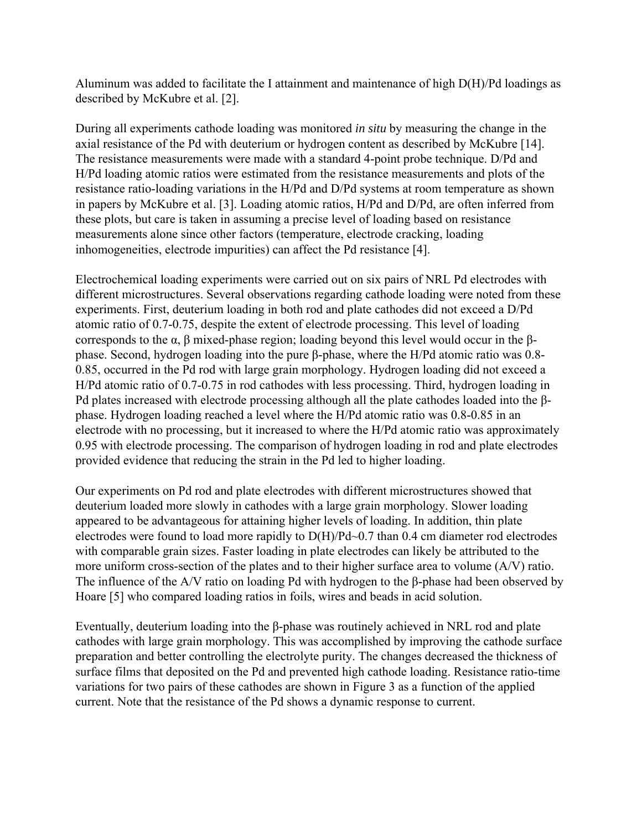Aluminum was added to facilitate the I attainment and maintenance of high D(H)/Pd loadings as described by McKubre et al. [2].

During all experiments cathode loading was monitored *in situ* by measuring the change in the axial resistance of the Pd with deuterium or hydrogen content as described by McKubre [14]. The resistance measurements were made with a standard 4-point probe technique. D/Pd and H/Pd loading atomic ratios were estimated from the resistance measurements and plots of the resistance ratio-loading variations in the H/Pd and D/Pd systems at room temperature as shown in papers by McKubre et al. [3]. Loading atomic ratios, H/Pd and D/Pd, are often inferred from these plots, but care is taken in assuming a precise level of loading based on resistance measurements alone since other factors (temperature, electrode cracking, loading inhomogeneities, electrode impurities) can affect the Pd resistance [4].

Electrochemical loading experiments were carried out on six pairs of NRL Pd electrodes with different microstructures. Several observations regarding cathode loading were noted from these experiments. First, deuterium loading in both rod and plate cathodes did not exceed a D/Pd atomic ratio of 0.7-0.75, despite the extent of electrode processing. This level of loading corresponds to the α, β mixed-phase region; loading beyond this level would occur in the βphase. Second, hydrogen loading into the pure β-phase, where the H/Pd atomic ratio was 0.8- 0.85, occurred in the Pd rod with large grain morphology. Hydrogen loading did not exceed a H/Pd atomic ratio of 0.7-0.75 in rod cathodes with less processing. Third, hydrogen loading in Pd plates increased with electrode processing although all the plate cathodes loaded into the βphase. Hydrogen loading reached a level where the H/Pd atomic ratio was 0.8-0.85 in an electrode with no processing, but it increased to where the H/Pd atomic ratio was approximately 0.95 with electrode processing. The comparison of hydrogen loading in rod and plate electrodes provided evidence that reducing the strain in the Pd led to higher loading.

Our experiments on Pd rod and plate electrodes with different microstructures showed that deuterium loaded more slowly in cathodes with a large grain morphology. Slower loading appeared to be advantageous for attaining higher levels of loading. In addition, thin plate electrodes were found to load more rapidly to D(H)/Pd~0.7 than 0.4 cm diameter rod electrodes with comparable grain sizes. Faster loading in plate electrodes can likely be attributed to the more uniform cross-section of the plates and to their higher surface area to volume (A/V) ratio. The influence of the A/V ratio on loading Pd with hydrogen to the β-phase had been observed by Hoare [5] who compared loading ratios in foils, wires and beads in acid solution.

Eventually, deuterium loading into the β-phase was routinely achieved in NRL rod and plate cathodes with large grain morphology. This was accomplished by improving the cathode surface preparation and better controlling the electrolyte purity. The changes decreased the thickness of surface films that deposited on the Pd and prevented high cathode loading. Resistance ratio-time variations for two pairs of these cathodes are shown in Figure 3 as a function of the applied current. Note that the resistance of the Pd shows a dynamic response to current.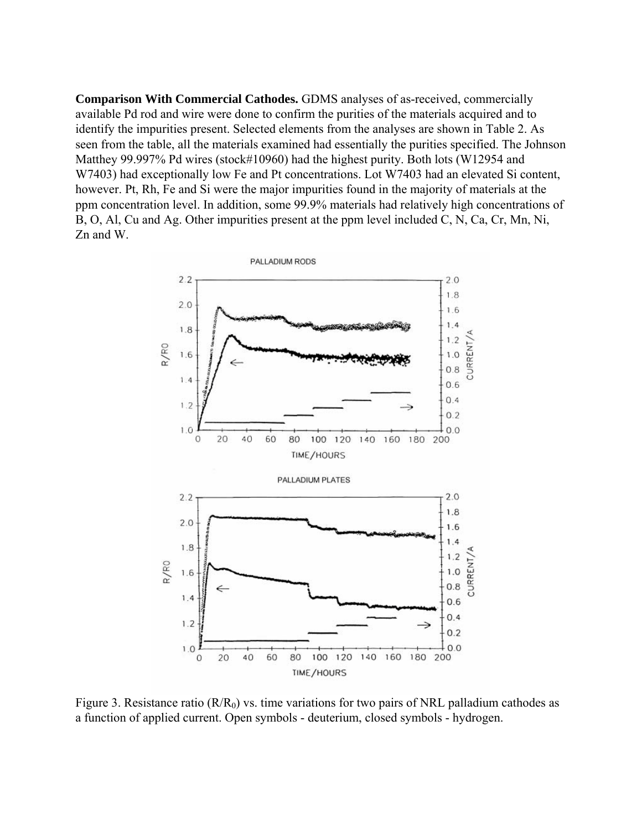**Comparison With Commercial Cathodes.** GDMS analyses of as-received, commercially available Pd rod and wire were done to confirm the purities of the materials acquired and to identify the impurities present. Selected elements from the analyses are shown in Table 2. As seen from the table, all the materials examined had essentially the purities specified. The Johnson Matthey 99.997% Pd wires (stock#10960) had the highest purity. Both lots (W12954 and W7403) had exceptionally low Fe and Pt concentrations. Lot W7403 had an elevated Si content, however. Pt, Rh, Fe and Si were the major impurities found in the majority of materials at the ppm concentration level. In addition, some 99.9% materials had relatively high concentrations of B, O, Al, Cu and Ag. Other impurities present at the ppm level included C, N, Ca, Cr, Mn, Ni, Zn and W.



Figure 3. Resistance ratio  $(R/R_0)$  vs. time variations for two pairs of NRL palladium cathodes as a function of applied current. Open symbols - deuterium, closed symbols - hydrogen.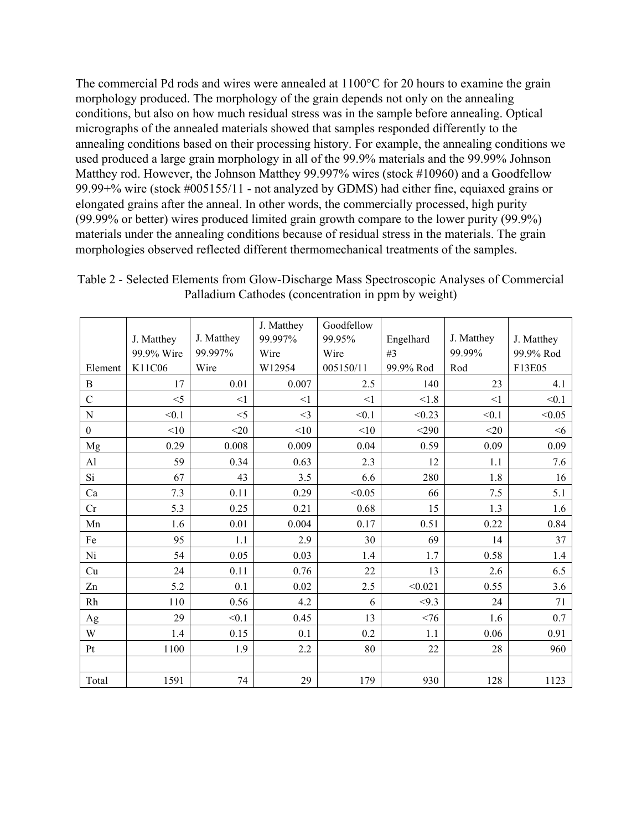The commercial Pd rods and wires were annealed at 1100°C for 20 hours to examine the grain morphology produced. The morphology of the grain depends not only on the annealing conditions, but also on how much residual stress was in the sample before annealing. Optical micrographs of the annealed materials showed that samples responded differently to the annealing conditions based on their processing history. For example, the annealing conditions we used produced a large grain morphology in all of the 99.9% materials and the 99.99% Johnson Matthey rod. However, the Johnson Matthey 99.997% wires (stock #10960) and a Goodfellow 99.99+% wire (stock #005155/11 - not analyzed by GDMS) had either fine, equiaxed grains or elongated grains after the anneal. In other words, the commercially processed, high purity (99.99% or better) wires produced limited grain growth compare to the lower purity (99.9%) materials under the annealing conditions because of residual stress in the materials. The grain morphologies observed reflected different thermomechanical treatments of the samples.

|                  |            |            | J. Matthey | Goodfellow |           |            |            |
|------------------|------------|------------|------------|------------|-----------|------------|------------|
|                  | J. Matthey | J. Matthey | 99.997%    | 99.95%     | Engelhard | J. Matthey | J. Matthey |
|                  | 99.9% Wire | 99.997%    | Wire       | Wire       | #3        | 99.99%     | 99.9% Rod  |
| Element          | K11C06     | Wire       | W12954     | 005150/11  | 99.9% Rod | Rod        | F13E05     |
| $\, {\bf B}$     | 17         | 0.01       | 0.007      | 2.5        | 140       | 23         | 4.1        |
| $\mathcal{C}$    | $<$ 5      | $\leq$ 1   | $\leq$ 1   | $\leq$ 1   | < 1.8     | $\leq$ 1   | < 0.1      |
| $\mathbf N$      | < 0.1      | $<$ 5      | $\leq$ 3   | < 0.1      | < 0.23    | < 0.1      | < 0.05     |
| $\boldsymbol{0}$ | <10        | $<$ 20     | <10        | <10        | $<$ 290   | $<$ 20     | $<$ 6      |
| Mg               | 0.29       | 0.008      | 0.009      | 0.04       | 0.59      | 0.09       | 0.09       |
| AI               | 59         | 0.34       | 0.63       | 2.3        | 12        | 1.1        | 7.6        |
| Si               | 67         | 43         | 3.5        | 6.6        | 280       | 1.8        | 16         |
| Ca               | 7.3        | 0.11       | 0.29       | < 0.05     | 66        | 7.5        | 5.1        |
| Cr               | 5.3        | 0.25       | 0.21       | 0.68       | 15        | 1.3        | 1.6        |
| Mn               | 1.6        | 0.01       | 0.004      | 0.17       | 0.51      | 0.22       | 0.84       |
| Fe               | 95         | 1.1        | 2.9        | 30         | 69        | 14         | 37         |
| Ni               | 54         | 0.05       | 0.03       | 1.4        | 1.7       | 0.58       | 1.4        |
| Cu               | 24         | 0.11       | 0.76       | 22         | 13        | 2.6        | 6.5        |
| Zn               | 5.2        | 0.1        | 0.02       | 2.5        | < 0.021   | 0.55       | 3.6        |
| Rh               | 110        | 0.56       | 4.2        | 6          | < 9.3     | 24         | 71         |
| Ag               | 29         | < 0.1      | 0.45       | 13         | <76       | 1.6        | 0.7        |
| W                | 1.4        | 0.15       | 0.1        | 0.2        | 1.1       | 0.06       | 0.91       |
| Pt               | 1100       | 1.9        | 2.2        | 80         | 22        | 28         | 960        |
|                  |            |            |            |            |           |            |            |
| Total            | 1591       | 74         | 29         | 179        | 930       | 128        | 1123       |

Table 2 - Selected Elements from Glow-Discharge Mass Spectroscopic Analyses of Commercial Palladium Cathodes (concentration in ppm by weight)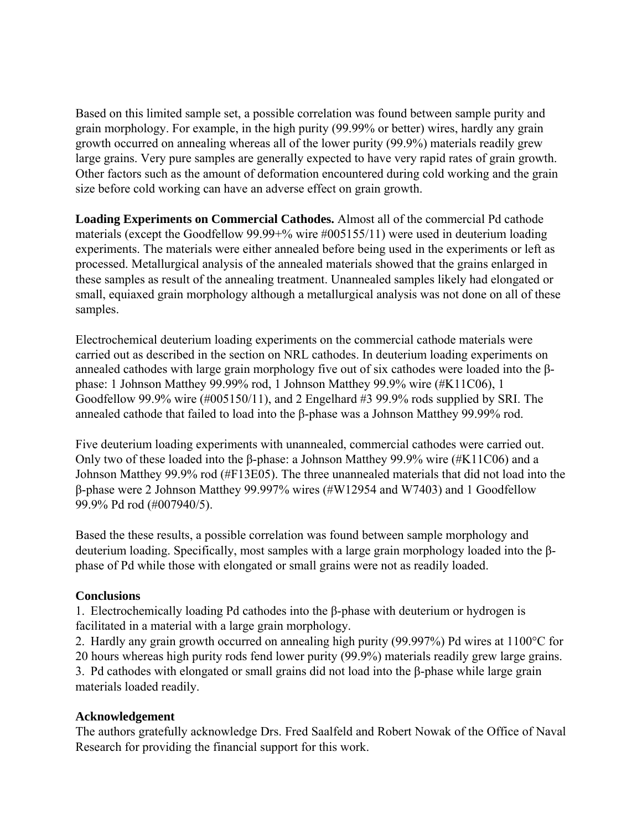Based on this limited sample set, a possible correlation was found between sample purity and grain morphology. For example, in the high purity (99.99% or better) wires, hardly any grain growth occurred on annealing whereas all of the lower purity (99.9%) materials readily grew large grains. Very pure samples are generally expected to have very rapid rates of grain growth. Other factors such as the amount of deformation encountered during cold working and the grain size before cold working can have an adverse effect on grain growth.

**Loading Experiments on Commercial Cathodes.** Almost all of the commercial Pd cathode materials (except the Goodfellow 99.99+% wire #005155/11) were used in deuterium loading experiments. The materials were either annealed before being used in the experiments or left as processed. Metallurgical analysis of the annealed materials showed that the grains enlarged in these samples as result of the annealing treatment. Unannealed samples likely had elongated or small, equiaxed grain morphology although a metallurgical analysis was not done on all of these samples.

Electrochemical deuterium loading experiments on the commercial cathode materials were carried out as described in the section on NRL cathodes. In deuterium loading experiments on annealed cathodes with large grain morphology five out of six cathodes were loaded into the βphase: 1 Johnson Matthey 99.99% rod, 1 Johnson Matthey 99.9% wire (#K11C06), 1 Goodfellow 99.9% wire (#005150/11), and 2 Engelhard #3 99.9% rods supplied by SRI. The annealed cathode that failed to load into the β-phase was a Johnson Matthey 99.99% rod.

Five deuterium loading experiments with unannealed, commercial cathodes were carried out. Only two of these loaded into the β-phase: a Johnson Matthey 99.9% wire (#K11C06) and a Johnson Matthey 99.9% rod (#F13E05). The three unannealed materials that did not load into the β-phase were 2 Johnson Matthey 99.997% wires (#W12954 and W7403) and 1 Goodfellow 99.9% Pd rod (#007940/5).

Based the these results, a possible correlation was found between sample morphology and deuterium loading. Specifically, most samples with a large grain morphology loaded into the βphase of Pd while those with elongated or small grains were not as readily loaded.

# **Conclusions**

1. Electrochemically loading Pd cathodes into the β-phase with deuterium or hydrogen is facilitated in a material with a large grain morphology.

2. Hardly any grain growth occurred on annealing high purity (99.997%) Pd wires at 1100°C for 20 hours whereas high purity rods fend lower purity (99.9%) materials readily grew large grains. 3. Pd cathodes with elongated or small grains did not load into the β-phase while large grain materials loaded readily.

# **Acknowledgement**

The authors gratefully acknowledge Drs. Fred Saalfeld and Robert Nowak of the Office of Naval Research for providing the financial support for this work.